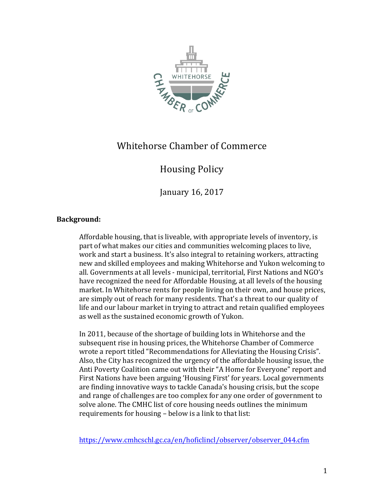

## Whitehorse Chamber of Commerce

## Housing Policy

January 16, 2017

## **Background:**

Affordable housing, that is liveable, with appropriate levels of inventory, is part of what makes our cities and communities welcoming places to live, work and start a business. It's also integral to retaining workers, attracting new and skilled employees and making Whitehorse and Yukon welcoming to all. Governments at all levels - municipal, territorial, First Nations and NGO's have recognized the need for Affordable Housing, at all levels of the housing market. In Whitehorse rents for people living on their own, and house prices, are simply out of reach for many residents. That's a threat to our quality of life and our labour market in trying to attract and retain qualified employees as well as the sustained economic growth of Yukon.

In 2011, because of the shortage of building lots in Whitehorse and the subsequent rise in housing prices, the Whitehorse Chamber of Commerce wrote a report titled "Recommendations for Alleviating the Housing Crisis". Also, the City has recognized the urgency of the affordable housing issue, the Anti Poverty Coalition came out with their "A Home for Everyone" report and First Nations have been arguing 'Housing First' for years. Local governments are finding innovative ways to tackle Canada's housing crisis, but the scope and range of challenges are too complex for any one order of government to solve alone. The CMHC list of core housing needs outlines the minimum requirements for housing - below is a link to that list:

https://www.cmhcschl.gc.ca/en/hoficlincl/observer/observer\_044.cfm